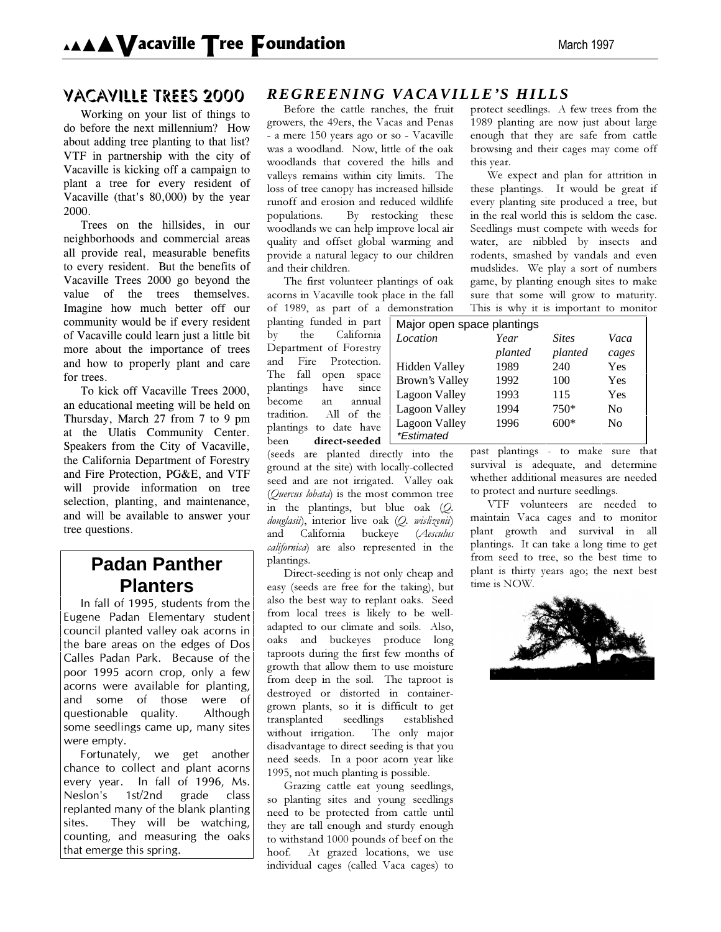## **VACAVILLE TREES 2000**

Working on your list of things to do before the next millennium? How about adding tree planting to that list? VTF in partnership with the city of Vacaville is kicking off a campaign to plant a tree for every resident of Vacaville (that's 80,000) by the year 2000

Trees on the hillsides, in our neighborhoods and commercial areas all provide real, measurable benefits to every resident. But the benefits of Vacaville Trees 2000 go beyond the value of the trees themselves. Imagine how much better off our community would be if every resident of Vacaville could learn just a little bit more about the importance of trees and how to properly plant and care for trees.

To kick off Vacaville Trees 2000, an educational meeting will be held on Thursday, March  $27$  from  $7$  to  $9$  pm at the Ulatis Community Center. Speakers from the City of Vacaville, the California Department of Forestry and Fire Protection, PG&E, and VTF will provide information on tree selection, planting, and maintenance, and will be available to answer your tree questions.

# **Padan Panther Planters**

In fall of 1995, students from the Eugene Padan Elementary student council planted valley oak acorns in the bare areas on the edges of Dos Calles Padan Park. Because of the poor 1995 acorn crop, only a few acorns were available for planting, and some of those were of questionable quality. Although some seedlings came up, many sites were empty.

Fortunately, we get another chance to collect and plant acorns every year. In fall of 1996, Ms. Neslon's 1st/2nd grade class replanted many of the blank planting sites. They will be watching, counting, and measuring the oaks that emerge this spring.

## *REGREENING VACAVILLE'S HILLS*

Before the cattle ranches, the fruit growers, the 49ers, the Vacas and Penas - a mere 150 years ago or so - Vacaville was a woodland. Now, little of the oak woodlands that covered the hills and valleys remains within city limits. The loss of tree canopy has increased hillside runoff and erosion and reduced wildlife populations. By restocking these woodlands we can help improve local air quality and offset global warming and provide a natural legacy to our children and their children.

The first volunteer plantings of oak acorns in Vacaville took place in the fall

of 1989, as part of a demonstration planting funded in part by the California Department of Forestry and Fire Protection. The fall open space plantings have since become an annual tradition. All of the plantings to date have been direct-seeded

(seeds are planted directly into the ground at the site) with locally-collected seed and are not irrigated. Valley oak *(Quercus lobata)* is the most common tree in the plantings, but blue oak (*Q*. douglasii), interior live oak (Q. wislizenii) and California buckeye (Aesculus *californica*) are also represented in the plantings.

Direct-seeding is not only cheap and easy (seeds are free for the taking), but also the best way to replant oaks. Seed from local trees is likely to be welladapted to our climate and soils. Also, oaks and buckeyes produce long taproots during the first few months of growth that allow them to use moisture from deep in the soil. The taproot is destroved or distorted in containergrown plants, so it is difficult to get transplanted seedlings established without irrigation. The only major disadvantage to direct seeding is that you need seeds. In a poor acorn year like 1995, not much planting is possible.

Grazing cattle eat young seedlings, so planting sites and young seedlings need to be protected from cattle until they are tall enough and sturdy enough to withstand 1000 pounds of beef on the hoof. At grazed locations, we use individual cages (called Vaca cages) to

protect seedlings. A few trees from the 1989 planting are now just about large enough that they are safe from cattle browsing and their cages may come off this year.

We expect and plan for attrition in these plantings. It would be great if every planting site produced a tree, but in the real world this is seldom the case. Seedlings must compete with weeds for water, are nibbled by insects and rodents, smashed by vandals and even mudslides. We play a sort of numbers game, by planting enough sites to make sure that some will grow to maturity. This is why it is important to monitor

| Major open space plantings |         |              |                |
|----------------------------|---------|--------------|----------------|
| Location                   | Year    | <b>Sites</b> | Vaca           |
|                            | planted | planted      | cages          |
| <b>Hidden Valley</b>       | 1989    | 240          | Yes            |
| Brown's Valley             | 1992    | 100          | Yes            |
| Lagoon Valley              | 1993    | 115          | Yes            |
| Lagoon Valley              | 1994    | $750*$       | No             |
| Lagoon Valley              | 1996    | $600*$       | N <sub>0</sub> |
| <i>*Estimated</i>          |         |              |                |

past plantings - to make sure that survival is adequate, and determine whether additional measures are needed to protect and nurture seedlings.

VTF volunteers are needed to maintain Vaca cages and to monitor plant growth and survival in all plantings. It can take a long time to get from seed to tree, so the best time to plant is thirty years ago; the next best time is NOW.